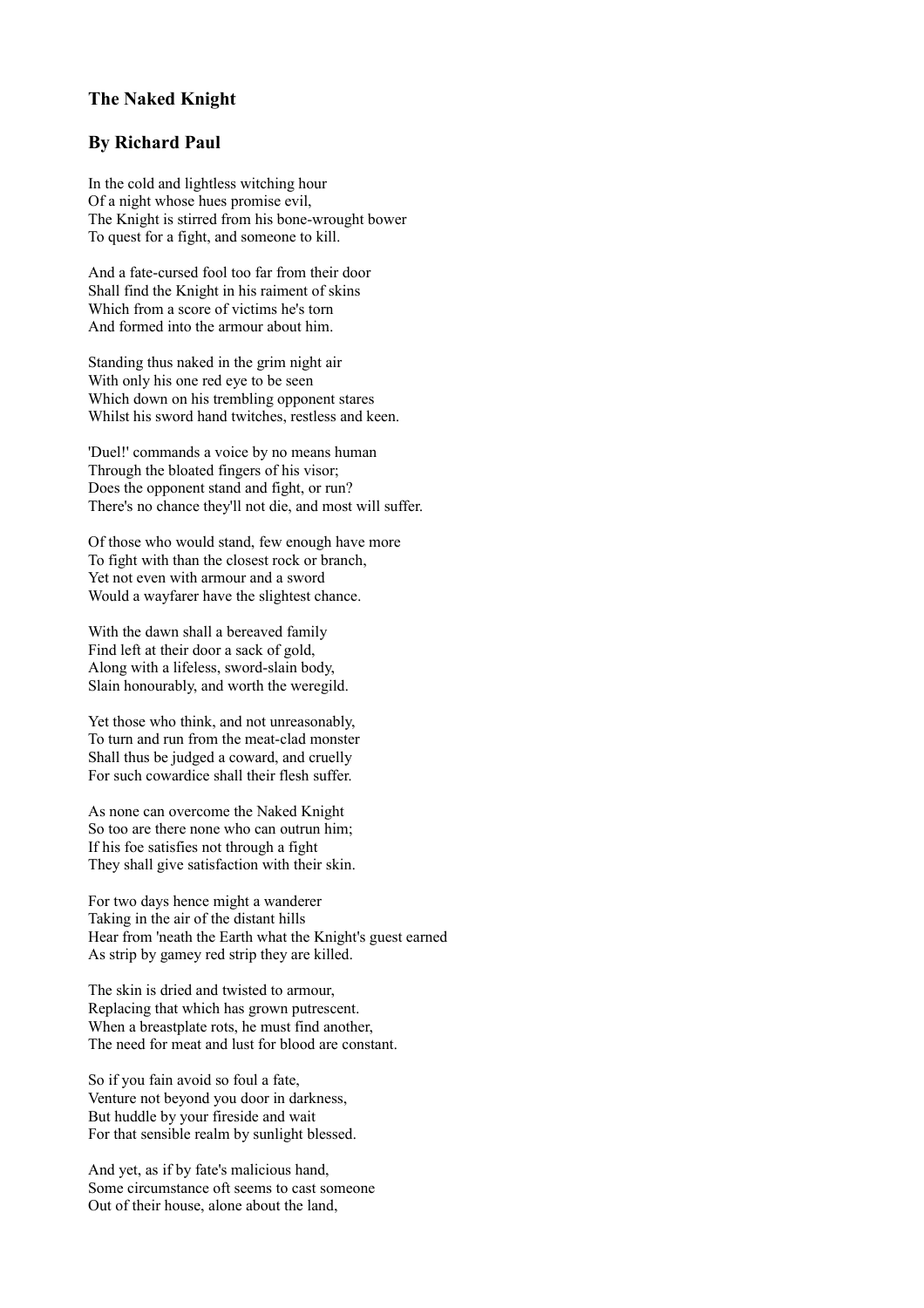## **The Naked Knight**

## **By Richard Paul**

In the cold and lightless witching hour Of a night whose hues promise evil, The Knight is stirred from his bone-wrought bower To quest for a fight, and someone to kill.

And a fate-cursed fool too far from their door Shall find the Knight in his raiment of skins Which from a score of victims he's torn And formed into the armour about him.

Standing thus naked in the grim night air With only his one red eye to be seen Which down on his trembling opponent stares Whilst his sword hand twitches, restless and keen.

'Duel!' commands a voice by no means human Through the bloated fingers of his visor; Does the opponent stand and fight, or run? There's no chance they'll not die, and most will suffer.

Of those who would stand, few enough have more To fight with than the closest rock or branch, Yet not even with armour and a sword Would a wayfarer have the slightest chance.

With the dawn shall a bereaved family Find left at their door a sack of gold, Along with a lifeless, sword-slain body, Slain honourably, and worth the weregild.

Yet those who think, and not unreasonably, To turn and run from the meat-clad monster Shall thus be judged a coward, and cruelly For such cowardice shall their flesh suffer.

As none can overcome the Naked Knight So too are there none who can outrun him; If his foe satisfies not through a fight They shall give satisfaction with their skin.

For two days hence might a wanderer Taking in the air of the distant hills Hear from 'neath the Earth what the Knight's guest earned As strip by gamey red strip they are killed.

The skin is dried and twisted to armour, Replacing that which has grown putrescent. When a breastplate rots, he must find another, The need for meat and lust for blood are constant.

So if you fain avoid so foul a fate, Venture not beyond you door in darkness, But huddle by your fireside and wait For that sensible realm by sunlight blessed.

And yet, as if by fate's malicious hand, Some circumstance oft seems to cast someone Out of their house, alone about the land,